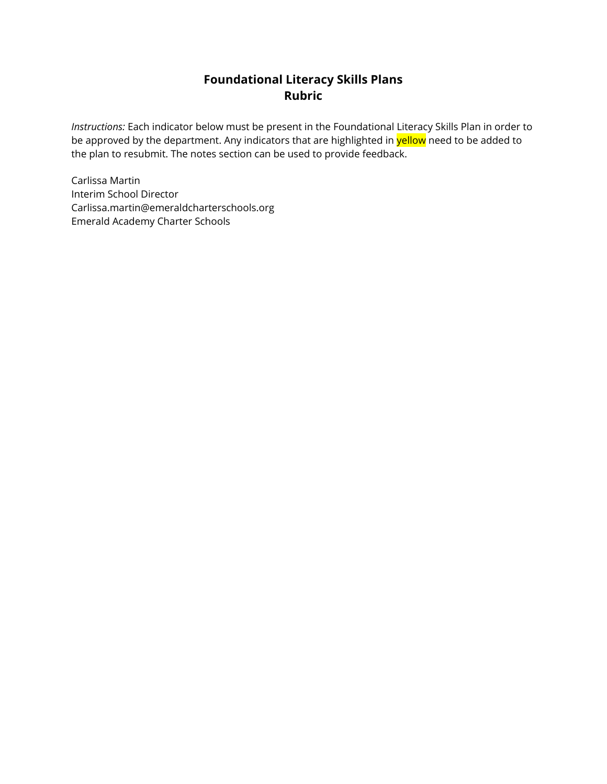## **Foundational Literacy Skills Plans Rubric**

*Instructions:* Each indicator below must be present in the Foundational Literacy Skills Plan in order to be approved by the department. Any indicators that are highlighted in **yellow** need to be added to the plan to resubmit. The notes section can be used to provide feedback.

Carlissa Martin Interim School Director Carlissa.martin@emeraldcharterschools.org Emerald Academy Charter Schools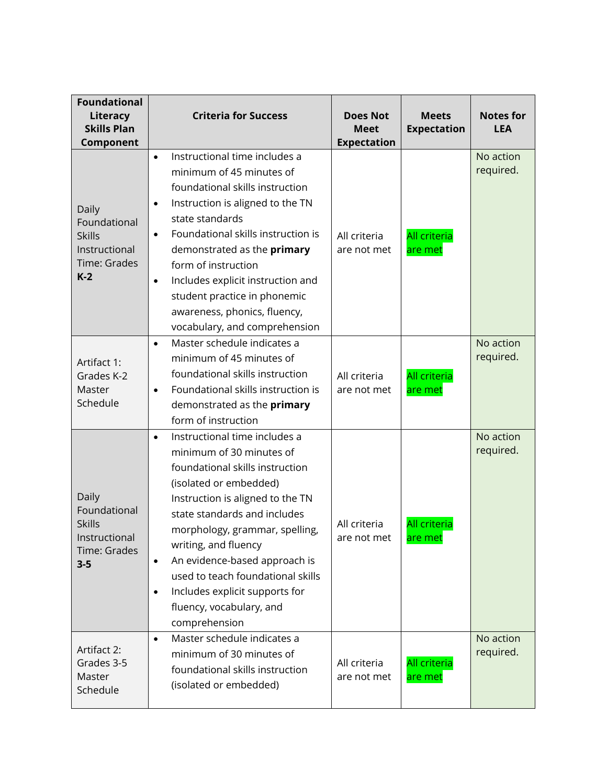| <b>Foundational</b><br>Literacy<br><b>Skills Plan</b><br>Component                 | <b>Criteria for Success</b>                                                                                                                                                                                                                                                                                                                                                                                                                      | <b>Does Not</b><br><b>Meet</b><br><b>Expectation</b> | <b>Meets</b><br><b>Expectation</b> | <b>Notes for</b><br><b>LEA</b> |
|------------------------------------------------------------------------------------|--------------------------------------------------------------------------------------------------------------------------------------------------------------------------------------------------------------------------------------------------------------------------------------------------------------------------------------------------------------------------------------------------------------------------------------------------|------------------------------------------------------|------------------------------------|--------------------------------|
| Daily<br>Foundational<br><b>Skills</b><br>Instructional<br>Time: Grades<br>$K-2$   | Instructional time includes a<br>$\bullet$<br>minimum of 45 minutes of<br>foundational skills instruction<br>Instruction is aligned to the TN<br>$\bullet$<br>state standards<br>Foundational skills instruction is<br>demonstrated as the primary<br>form of instruction<br>Includes explicit instruction and<br>$\bullet$<br>student practice in phonemic<br>awareness, phonics, fluency,<br>vocabulary, and comprehension                     | All criteria<br>are not met                          | <b>All criteria</b><br>are met     | No action<br>required.         |
| Artifact 1:<br>Grades K-2<br>Master<br>Schedule                                    | Master schedule indicates a<br>$\bullet$<br>minimum of 45 minutes of<br>foundational skills instruction<br>Foundational skills instruction is<br>$\bullet$<br>demonstrated as the primary<br>form of instruction                                                                                                                                                                                                                                 | All criteria<br>are not met                          | <b>All criteria</b><br>are met     | No action<br>required.         |
| Daily<br>Foundational<br><b>Skills</b><br>Instructional<br>Time: Grades<br>$3 - 5$ | Instructional time includes a<br>$\bullet$<br>minimum of 30 minutes of<br>foundational skills instruction<br>(isolated or embedded)<br>Instruction is aligned to the TN<br>state standards and includes<br>morphology, grammar, spelling,<br>writing, and fluency<br>An evidence-based approach is<br>$\bullet$<br>used to teach foundational skills<br>Includes explicit supports for<br>$\bullet$<br>fluency, vocabulary, and<br>comprehension | All criteria<br>are not met                          | <b>All criteria</b><br>are met     | No action<br>required.         |
| Artifact 2:<br>Grades 3-5<br>Master<br>Schedule                                    | Master schedule indicates a<br>$\bullet$<br>minimum of 30 minutes of<br>foundational skills instruction<br>(isolated or embedded)                                                                                                                                                                                                                                                                                                                | All criteria<br>are not met                          | <b>All criteria</b><br>are met     | No action<br>required.         |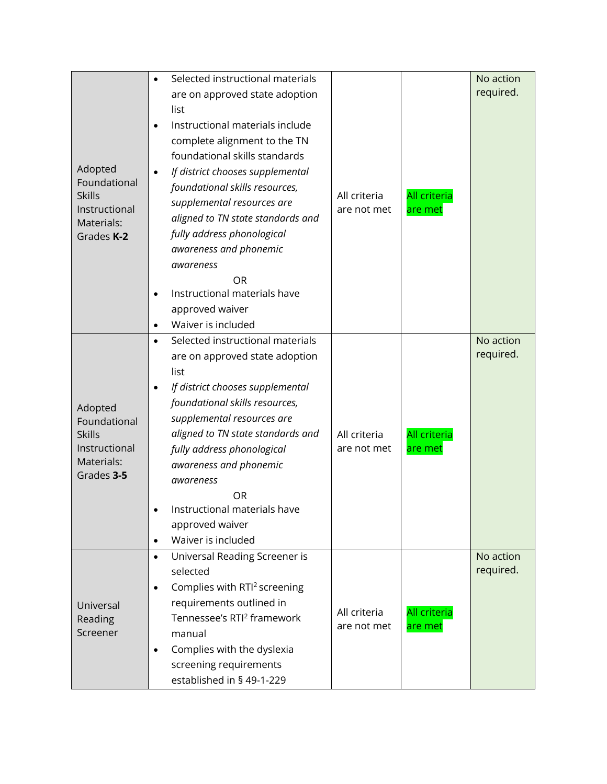|                                  |           | Selected instructional materials         |              |                                | No action |
|----------------------------------|-----------|------------------------------------------|--------------|--------------------------------|-----------|
|                                  |           | are on approved state adoption           |              |                                | required. |
|                                  |           | list                                     |              |                                |           |
|                                  | $\bullet$ | Instructional materials include          |              |                                |           |
|                                  |           | complete alignment to the TN             |              |                                |           |
|                                  |           | foundational skills standards            | All criteria | <b>All criteria</b><br>are met |           |
| Adopted                          | $\bullet$ | If district chooses supplemental         |              |                                |           |
| Foundational                     |           | foundational skills resources,           |              |                                |           |
| <b>Skills</b>                    |           | supplemental resources are               |              |                                |           |
| Instructional                    |           | aligned to TN state standards and        | are not met  |                                |           |
| Materials:<br>Grades K-2         |           | fully address phonological               |              |                                |           |
|                                  |           | awareness and phonemic                   |              |                                |           |
|                                  |           | awareness                                |              |                                |           |
|                                  |           | OR                                       |              |                                |           |
|                                  | $\bullet$ | Instructional materials have             |              |                                |           |
|                                  |           | approved waiver                          |              |                                |           |
|                                  | $\bullet$ | Waiver is included                       |              |                                |           |
|                                  | $\bullet$ | Selected instructional materials         |              |                                | No action |
|                                  |           | are on approved state adoption           |              |                                | required. |
|                                  |           | list                                     |              |                                |           |
|                                  | $\bullet$ | If district chooses supplemental         |              |                                |           |
|                                  |           | foundational skills resources,           |              |                                |           |
| Adopted<br>Foundational          |           | supplemental resources are               |              |                                |           |
| <b>Skills</b>                    |           | aligned to TN state standards and        | All criteria | All criteria                   |           |
| Instructional                    |           | fully address phonological               | are not met  | are met                        |           |
| Materials:                       |           | awareness and phonemic                   |              |                                |           |
| Grades 3-5                       |           | awareness                                |              |                                |           |
|                                  |           | <b>OR</b>                                |              |                                |           |
|                                  |           | Instructional materials have             |              |                                |           |
|                                  |           | approved waiver                          |              |                                |           |
|                                  | $\bullet$ | Waiver is included                       |              |                                |           |
|                                  | $\bullet$ | Universal Reading Screener is            |              |                                | No action |
|                                  |           | selected                                 |              |                                | required. |
| Universal<br>Reading<br>Screener | $\bullet$ | Complies with RTI <sup>2</sup> screening |              |                                |           |
|                                  |           | requirements outlined in                 |              |                                |           |
|                                  |           | Tennessee's RTI <sup>2</sup> framework   | All criteria | All criteria                   |           |
|                                  |           | manual                                   | are not met  | are met                        |           |
|                                  | $\bullet$ | Complies with the dyslexia               |              |                                |           |
|                                  |           | screening requirements                   |              |                                |           |
|                                  |           | established in § 49-1-229                |              |                                |           |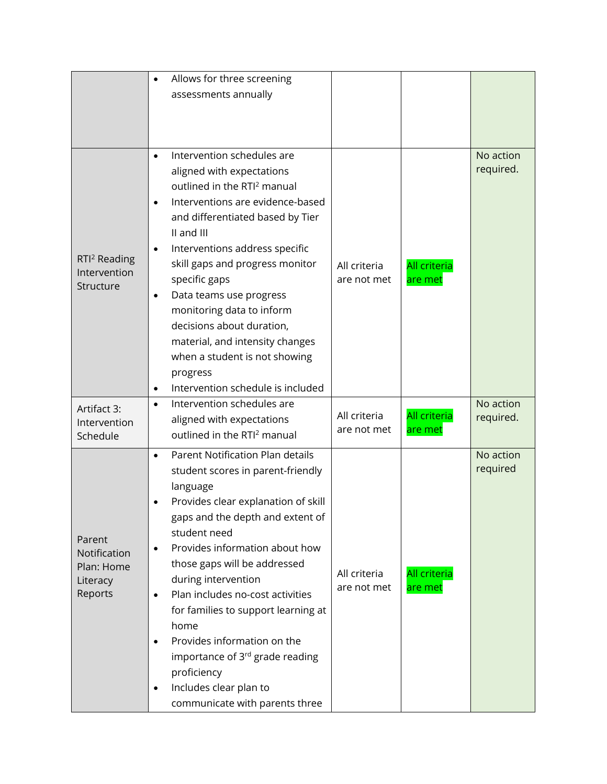|                             |           | Allows for three screening                             |                             |                                |           |
|-----------------------------|-----------|--------------------------------------------------------|-----------------------------|--------------------------------|-----------|
|                             |           | assessments annually                                   |                             |                                |           |
|                             |           |                                                        |                             |                                |           |
|                             |           |                                                        |                             |                                |           |
|                             |           |                                                        |                             |                                |           |
|                             | $\bullet$ | Intervention schedules are                             |                             |                                | No action |
|                             |           | aligned with expectations                              |                             |                                | required. |
|                             |           | outlined in the RTI <sup>2</sup> manual                |                             |                                |           |
|                             | $\bullet$ | Interventions are evidence-based                       |                             |                                |           |
|                             |           | and differentiated based by Tier                       |                             |                                |           |
|                             |           | II and III                                             |                             |                                |           |
| RTI <sup>2</sup> Reading    | $\bullet$ | Interventions address specific                         |                             |                                |           |
| Intervention                |           | skill gaps and progress monitor                        | All criteria                | <b>All criteria</b>            |           |
| Structure                   |           | specific gaps                                          | are not met                 | are met                        |           |
|                             | $\bullet$ | Data teams use progress                                |                             |                                |           |
|                             |           | monitoring data to inform<br>decisions about duration, |                             |                                |           |
|                             |           | material, and intensity changes                        |                             |                                |           |
|                             |           | when a student is not showing                          |                             |                                |           |
|                             |           | progress                                               |                             |                                |           |
|                             | $\bullet$ | Intervention schedule is included                      |                             |                                |           |
|                             | $\bullet$ | Intervention schedules are                             |                             |                                | No action |
| Artifact 3:<br>Intervention |           | aligned with expectations                              | All criteria                | <b>All criteria</b>            | required. |
| Schedule                    |           | outlined in the RTI <sup>2</sup> manual                | are not met                 | are met                        |           |
|                             | $\bullet$ | Parent Notification Plan details                       |                             |                                | No action |
|                             |           | student scores in parent-friendly                      |                             |                                | required  |
|                             |           | language                                               |                             |                                |           |
|                             |           | Provides clear explanation of skill                    |                             |                                |           |
|                             |           | gaps and the depth and extent of                       |                             |                                |           |
| Parent<br>Notification      |           | student need                                           |                             | <b>All criteria</b><br>are met |           |
|                             | $\bullet$ | Provides information about how                         |                             |                                |           |
| Plan: Home                  |           | those gaps will be addressed                           |                             |                                |           |
| Literacy                    |           | during intervention                                    | All criteria<br>are not met |                                |           |
| Reports                     | $\bullet$ | Plan includes no-cost activities                       |                             |                                |           |
|                             |           | for families to support learning at                    |                             |                                |           |
|                             |           | home                                                   |                             |                                |           |
|                             | ٠         | Provides information on the                            |                             |                                |           |
|                             |           | importance of 3 <sup>rd</sup> grade reading            |                             |                                |           |
|                             |           | proficiency                                            |                             |                                |           |
|                             |           | Includes clear plan to                                 |                             |                                |           |
|                             |           | communicate with parents three                         |                             |                                |           |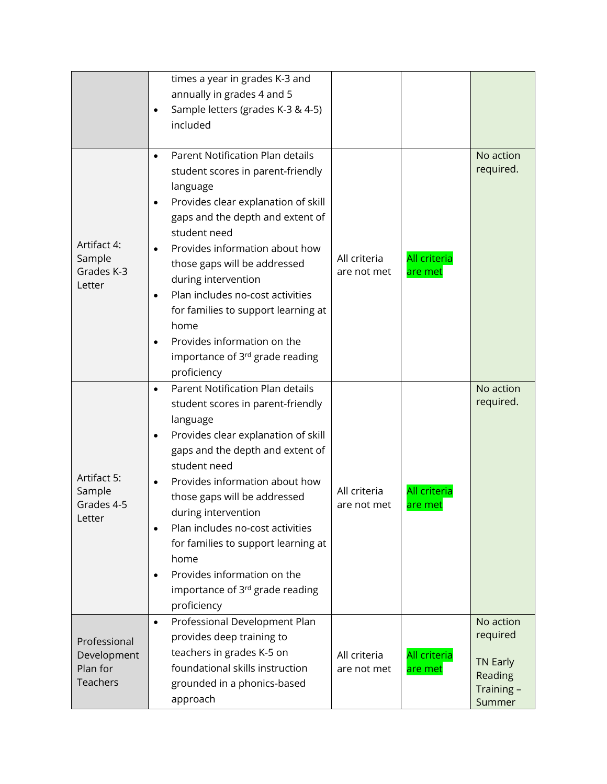|                                                            | times a year in grades K-3 and<br>annually in grades 4 and 5<br>Sample letters (grades K-3 & 4-5)<br>$\bullet$<br>included                                                                                                                                                                                                                                                                                                                                                                        |                             |                                |                                                                            |
|------------------------------------------------------------|---------------------------------------------------------------------------------------------------------------------------------------------------------------------------------------------------------------------------------------------------------------------------------------------------------------------------------------------------------------------------------------------------------------------------------------------------------------------------------------------------|-----------------------------|--------------------------------|----------------------------------------------------------------------------|
| Artifact 4:<br>Sample<br>Grades K-3<br>Letter              | Parent Notification Plan details<br>$\bullet$<br>student scores in parent-friendly<br>language<br>Provides clear explanation of skill<br>٠<br>gaps and the depth and extent of<br>student need<br>Provides information about how<br>those gaps will be addressed<br>during intervention<br>Plan includes no-cost activities<br>$\bullet$<br>for families to support learning at<br>home<br>Provides information on the<br>$\bullet$<br>importance of 3 <sup>rd</sup> grade reading<br>proficiency | All criteria<br>are not met | <b>All criteria</b><br>are met | No action<br>required.                                                     |
| Artifact 5:<br>Sample<br>Grades 4-5<br>Letter              | Parent Notification Plan details<br>$\bullet$<br>student scores in parent-friendly<br>language<br>Provides clear explanation of skill<br>$\bullet$<br>gaps and the depth and extent of<br>student need<br>Provides information about how<br>those gaps will be addressed<br>during intervention<br>Plan includes no-cost activities<br>$\bullet$<br>for families to support learning at<br>home<br>Provides information on the<br>$\bullet$<br>importance of 3rd grade reading<br>proficiency     | All criteria<br>are not met | <b>All criteria</b><br>are met | No action<br>required.                                                     |
| Professional<br>Development<br>Plan for<br><b>Teachers</b> | Professional Development Plan<br>$\bullet$<br>provides deep training to<br>teachers in grades K-5 on<br>foundational skills instruction<br>grounded in a phonics-based<br>approach                                                                                                                                                                                                                                                                                                                | All criteria<br>are not met | <b>All criteria</b><br>are met | No action<br>required<br><b>TN Early</b><br>Reading<br>Training-<br>Summer |